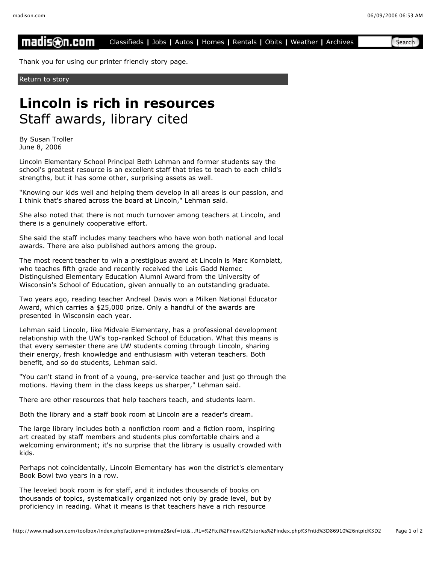## madis⊛n.com Classifieds **|** Jobs **|** Autos **|** Homes **|** Rentals **|** Obits **|** Weather **|** Archives Search

Thank you for using our printer friendly story page.

Return to story

## **Lincoln is rich in resources** Staff awards, library cited

By Susan Troller June 8, 2006

Lincoln Elementary School Principal Beth Lehman and former students say the school's greatest resource is an excellent staff that tries to teach to each child's strengths, but it has some other, surprising assets as well.

"Knowing our kids well and helping them develop in all areas is our passion, and I think that's shared across the board at Lincoln," Lehman said.

She also noted that there is not much turnover among teachers at Lincoln, and there is a genuinely cooperative effort.

She said the staff includes many teachers who have won both national and local awards. There are also published authors among the group.

The most recent teacher to win a prestigious award at Lincoln is Marc Kornblatt, who teaches fifth grade and recently received the Lois Gadd Nemec Distinguished Elementary Education Alumni Award from the University of Wisconsin's School of Education, given annually to an outstanding graduate.

Two years ago, reading teacher Andreal Davis won a Milken National Educator Award, which carries a \$25,000 prize. Only a handful of the awards are presented in Wisconsin each year.

Lehman said Lincoln, like Midvale Elementary, has a professional development relationship with the UW's top-ranked School of Education. What this means is that every semester there are UW students coming through Lincoln, sharing their energy, fresh knowledge and enthusiasm with veteran teachers. Both benefit, and so do students, Lehman said.

"You can't stand in front of a young, pre-service teacher and just go through the motions. Having them in the class keeps us sharper," Lehman said.

There are other resources that help teachers teach, and students learn.

Both the library and a staff book room at Lincoln are a reader's dream.

The large library includes both a nonfiction room and a fiction room, inspiring art created by staff members and students plus comfortable chairs and a welcoming environment; it's no surprise that the library is usually crowded with kids.

Perhaps not coincidentally, Lincoln Elementary has won the district's elementary Book Bowl two years in a row.

The leveled book room is for staff, and it includes thousands of books on thousands of topics, systematically organized not only by grade level, but by proficiency in reading. What it means is that teachers have a rich resource